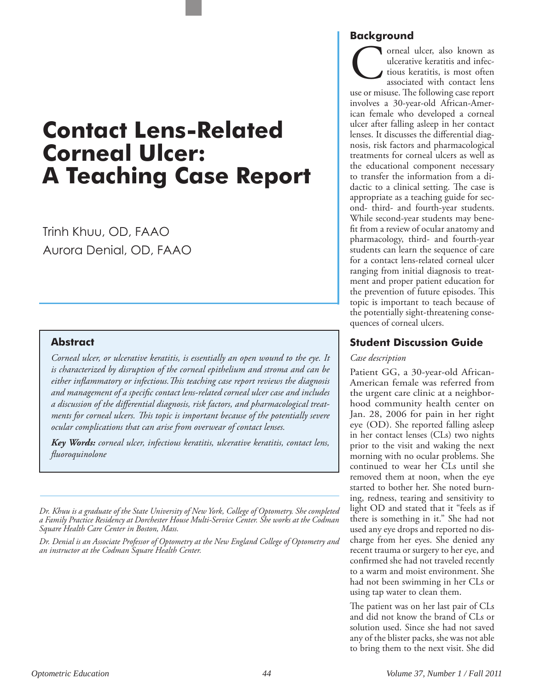# **Contact Lens-Related Corneal Ulcer: A Teaching Case Report**

Trinh Khuu, OD, FAAO Aurora Denial, OD, FAAO

## **Abstract**

*Corneal ulcer, or ulcerative keratitis, is essentially an open wound to the eye. It is characterized by disruption of the corneal epithelium and stroma and can be either inflammatory or infectious.This teaching case report reviews the diagnosis and management of a specific contact lens-related corneal ulcer case and includes a discussion of the differential diagnosis, risk factors, and pharmacological treatments for corneal ulcers. This topic is important because of the potentially severe ocular complications that can arise from overwear of contact lenses.*

*Key Words: corneal ulcer, infectious keratitis, ulcerative keratitis, contact lens, fluoroquinolone*

*Dr. Denial is an Associate Professor of Optometry at the New England College of Optometry and an instructor at the Codman Square Health Center.*

## **Background**

orneal ulcer, also known as ulcerative keratitis and infectious keratitis, is most often associated with contact lens **C** orneal ulcer, also known as ulcerative keratitis and infectious keratitis, is most often associated with contact lens use or misuse. The following case report involves a 30-year-old African-American female who developed a corneal ulcer after falling asleep in her contact lenses. It discusses the differential diagnosis, risk factors and pharmacological treatments for corneal ulcers as well as the educational component necessary to transfer the information from a didactic to a clinical setting. The case is appropriate as a teaching guide for second- third- and fourth-year students. While second-year students may benefit from a review of ocular anatomy and pharmacology, third- and fourth-year students can learn the sequence of care for a contact lens-related corneal ulcer ranging from initial diagnosis to treatment and proper patient education for the prevention of future episodes. This topic is important to teach because of the potentially sight-threatening consequences of corneal ulcers.

# **Student Discussion Guide**

## *Case description*

Patient GG, a 30-year-old African-American female was referred from the urgent care clinic at a neighborhood community health center on Jan. 28, 2006 for pain in her right eye (OD). She reported falling asleep in her contact lenses (CLs) two nights prior to the visit and waking the next morning with no ocular problems. She continued to wear her CLs until she removed them at noon, when the eye started to bother her. She noted burning, redness, tearing and sensitivity to light OD and stated that it "feels as if there is something in it." She had not used any eye drops and reported no discharge from her eyes. She denied any recent trauma or surgery to her eye, and confirmed she had not traveled recently to a warm and moist environment. She had not been swimming in her CLs or using tap water to clean them.

The patient was on her last pair of CLs and did not know the brand of CLs or solution used. Since she had not saved any of the blister packs, she was not able to bring them to the next visit. She did

*Dr. Khuu is a graduate of the State University of New York, College of Optometry. She completed a Family Practice Residency at Dorchester House Multi-Service Center. She works at the Codman Square Health Care Center in Boston, Mass.*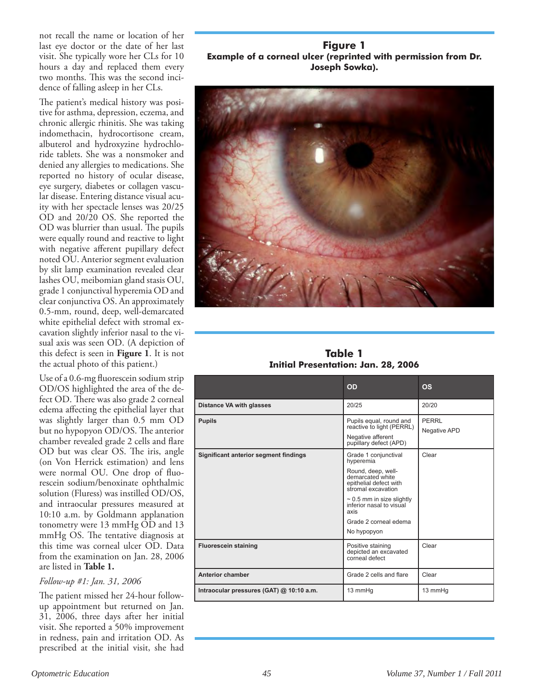not recall the name or location of her last eye doctor or the date of her last visit. She typically wore her CLs for 10 hours a day and replaced them every two months. This was the second incidence of falling asleep in her CLs.

The patient's medical history was positive for asthma, depression, eczema, and chronic allergic rhinitis. She was taking indomethacin, hydrocortisone cream, albuterol and hydroxyzine hydrochloride tablets. She was a nonsmoker and denied any allergies to medications. She reported no history of ocular disease, eye surgery, diabetes or collagen vascular disease. Entering distance visual acuity with her spectacle lenses was 20/25 OD and 20/20 OS. She reported the OD was blurrier than usual. The pupils were equally round and reactive to light with negative afferent pupillary defect noted OU. Anterior segment evaluation by slit lamp examination revealed clear lashes OU, meibomian gland stasis OU, grade 1 conjunctival hyperemia OD and clear conjunctiva OS. An approximately 0.5-mm, round, deep, well-demarcated white epithelial defect with stromal excavation slightly inferior nasal to the visual axis was seen OD. (A depiction of this defect is seen in **Figure 1**. It is not the actual photo of this patient.)

Use of a 0.6-mg fluorescein sodium strip OD/OS highlighted the area of the defect OD. There was also grade 2 corneal edema affecting the epithelial layer that was slightly larger than 0.5 mm OD but no hypopyon OD/OS. The anterior chamber revealed grade 2 cells and flare OD but was clear OS. The iris, angle (on Von Herrick estimation) and lens were normal OU. One drop of fluorescein sodium/benoxinate ophthalmic solution (Fluress) was instilled OD/OS, and intraocular pressures measured at 10:10 a.m. by Goldmann applanation tonometry were 13 mmHg OD and 13 mmHg OS. The tentative diagnosis at this time was corneal ulcer OD. Data from the examination on Jan. 28, 2006 are listed in **Table 1.**

## *Follow-up #1: Jan. 31, 2006*

The patient missed her 24-hour followup appointment but returned on Jan. 31, 2006, three days after her initial visit. She reported a 50% improvement in redness, pain and irritation OD. As prescribed at the initial visit, she had

**Figure 1 Example of a corneal ulcer (reprinted with permission from Dr. Joseph Sowka).**



**Table 1 Initial Presentation: Jan. 28, 2006**

|                                              | <b>OD</b>                                                                                                                                                                                                                                 | <b>OS</b>             |
|----------------------------------------------|-------------------------------------------------------------------------------------------------------------------------------------------------------------------------------------------------------------------------------------------|-----------------------|
| <b>Distance VA with glasses</b>              | 20/25                                                                                                                                                                                                                                     | 20/20                 |
| <b>Pupils</b>                                | Pupils equal, round and<br>reactive to light (PERRL)<br>Negative afferent<br>pupillary defect (APD)                                                                                                                                       | PFRRI<br>Negative APD |
| <b>Significant anterior segment findings</b> | Grade 1 conjunctival<br>hyperemia<br>Round, deep, well-<br>demarcated white<br>epithelial defect with<br>stromal excavation<br>$\sim$ 0.5 mm in size slightly<br>inferior nasal to visual<br>axis<br>Grade 2 corneal edema<br>No hypopyon | Clear                 |
| <b>Fluorescein staining</b>                  | Positive staining<br>depicted an excavated<br>corneal defect                                                                                                                                                                              | Clear                 |
| <b>Anterior chamber</b>                      | Grade 2 cells and flare                                                                                                                                                                                                                   | Clear                 |
| Intraocular pressures (GAT) @ 10:10 a.m.     | 13 mmHq                                                                                                                                                                                                                                   | 13 mmHq               |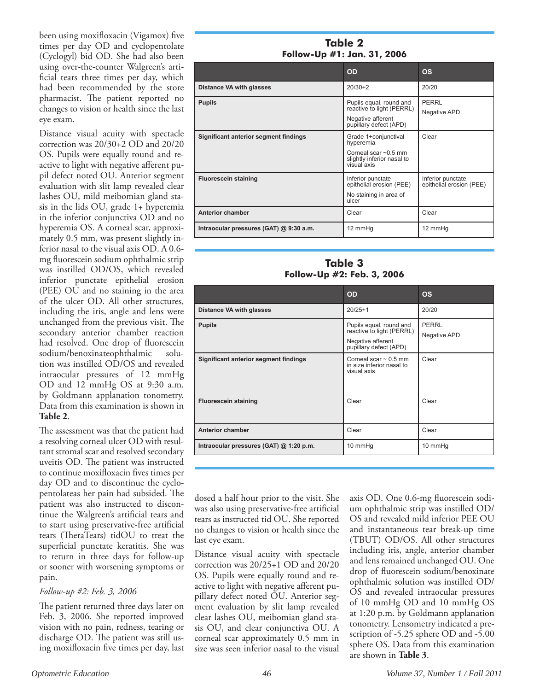been using moxifloxacin (Vigamox) five times per day OD and cyclopentolate (Cyclogyl) bid OD. She had also been using over-the-counter Walgreen's artificial tears three times per day, which had been recommended by the store pharmacist. The patient reported no changes to vision or health since the last eye exam.

Distance visual acuity with spectacle correction was 20/30+2 OD and 20/20 OS. Pupils were equally round and reactive to light with negative afferent pupil defect noted OU. Anterior segment evaluation with slit lamp revealed clear lashes OU, mild meibomian gland stasis in the lids OU, grade 1+ hyperemia in the inferior conjunctiva OD and no hyperemia OS. A corneal scar, approximately 0.5 mm, was present slightly inferior nasal to the visual axis OD. A 0.6 mg fluorescein sodium ophthalmic strip was instilled OD/OS, which revealed inferior punctate epithelial erosion (PEE) OU and no staining in the area of the ulcer OD. All other structures, including the iris, angle and lens were unchanged from the previous visit. The secondary anterior chamber reaction had resolved. One drop of fluorescein sodium/benoxinateophthalmic solution was instilled OD/OS and revealed intraocular pressures of 12 mmHg OD and 12 mmHg OS at 9:30 a.m. by Goldmann applanation tonometry. Data from this examination is shown in **Table 2**.

The assessment was that the patient had a resolving corneal ulcer OD with resultant stromal scar and resolved secondary uveitis OD. The patient was instructed to continue moxifloxacin fives times per day OD and to discontinue the cyclopentolateas her pain had subsided. The patient was also instructed to discontinue the Walgreen's artificial tears and to start using preservative-free artificial tears (TheraTears) tidOU to treat the superficial punctate keratitis. She was to return in three days for follow-up or sooner with worsening symptoms or pain.

#### *Follow-up #2: Feb. 3, 2006*

The patient returned three days later on Feb. 3, 2006. She reported improved vision with no pain, redness, tearing or discharge OD. The patient was still using moxifloxacin five times per day, last

**Table 2 Follow-Up #1: Jan. 31, 2006**

|                                              | <b>OD</b>                                                                                              | <b>OS</b>                                     |
|----------------------------------------------|--------------------------------------------------------------------------------------------------------|-----------------------------------------------|
| Distance VA with glasses                     | $20/30+2$                                                                                              | 20/20                                         |
| <b>Pupils</b>                                | Pupils equal, round and<br>reactive to light (PERRL)<br>Negative afferent<br>pupillary defect (APD)    | PERRL<br>Negative APD                         |
| <b>Significant anterior segment findings</b> | Grade 1+conjunctival<br>hyperemia<br>Corneal scar ~0.5 mm<br>slightly inferior nasal to<br>visual axis | Clear                                         |
| <b>Fluorescein staining</b>                  | Inferior punctate<br>epithelial erosion (PEE)<br>No staining in area of<br>ulcer                       | Inferior punctate<br>epithelial erosion (PEE) |
| <b>Anterior chamber</b>                      | Clear                                                                                                  | Clear                                         |
| Intraocular pressures (GAT) @ 9:30 a.m.      | 12 mmHq                                                                                                | 12 mmHq                                       |

**Table 3 Follow-Up #2: Feb. 3, 2006**

|                                              | <b>OD</b>                                                                                           | <b>OS</b>             |
|----------------------------------------------|-----------------------------------------------------------------------------------------------------|-----------------------|
| Distance VA with glasses                     | $20/25+1$                                                                                           | 20/20                 |
| <b>Pupils</b>                                | Pupils equal, round and<br>reactive to light (PERRL)<br>Negative afferent<br>pupillary defect (APD) | PERRL<br>Negative APD |
| <b>Significant anterior segment findings</b> | Corneal scar $\sim$ 0.5 mm<br>in size inferior nasal to<br>visual axis                              | Clear                 |
| <b>Fluorescein staining</b>                  | Clear                                                                                               | Clear                 |
| <b>Anterior chamber</b>                      | Clear                                                                                               | Clear                 |
| Intraocular pressures (GAT) @ 1:20 p.m.      | 10 mmHg                                                                                             | 10 mmHg               |

dosed a half hour prior to the visit. She was also using preservative-free artificial tears as instructed tid OU. She reported no changes to vision or health since the last eye exam.

Distance visual acuity with spectacle correction was 20/25+1 OD and 20/20 OS. Pupils were equally round and reactive to light with negative afferent pupillary defect noted OU. Anterior segment evaluation by slit lamp revealed clear lashes OU, meibomian gland stasis OU, and clear conjunctiva OU. A corneal scar approximately 0.5 mm in size was seen inferior nasal to the visual axis OD. One 0.6-mg fluorescein sodium ophthalmic strip was instilled OD/ OS and revealed mild inferior PEE OU and instantaneous tear break-up time (TBUT) OD/OS. All other structures including iris, angle, anterior chamber and lens remained unchanged OU. One drop of fluorescein sodium/benoxinate ophthalmic solution was instilled OD/ OS and revealed intraocular pressures of 10 mmHg OD and 10 mmHg OS at 1:20 p.m. by Goldmann applanation tonometry. Lensometry indicated a prescription of -5.25 sphere OD and -5.00 sphere OS. Data from this examination are shown in **Table 3**.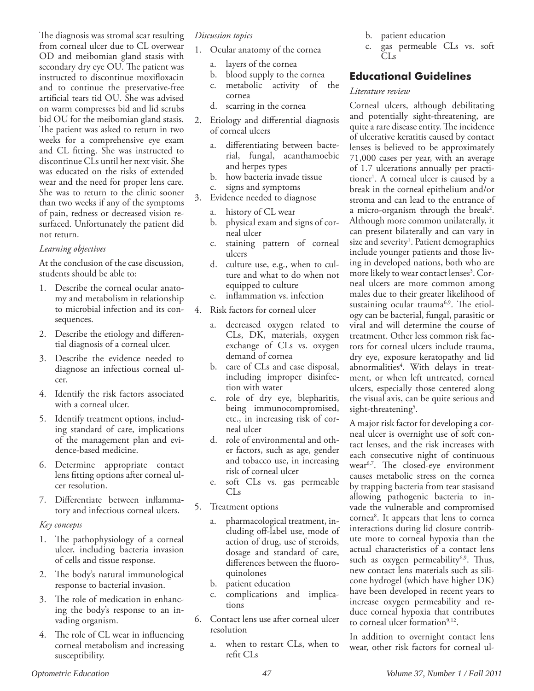The diagnosis was stromal scar resulting from corneal ulcer due to CL overwear OD and meibomian gland stasis with secondary dry eye OU. The patient was instructed to discontinue moxifloxacin and to continue the preservative-free artificial tears tid OU. She was advised on warm compresses bid and lid scrubs bid OU for the meibomian gland stasis. The patient was asked to return in two weeks for a comprehensive eye exam and CL fitting. She was instructed to discontinue CLs until her next visit. She was educated on the risks of extended wear and the need for proper lens care. She was to return to the clinic sooner than two weeks if any of the symptoms of pain, redness or decreased vision resurfaced. Unfortunately the patient did not return.

## *Learning objectives*

At the conclusion of the case discussion, students should be able to:

- 1. Describe the corneal ocular anatomy and metabolism in relationship to microbial infection and its consequences.
- 2. Describe the etiology and differential diagnosis of a corneal ulcer.
- 3. Describe the evidence needed to diagnose an infectious corneal ulcer.
- 4. Identify the risk factors associated with a corneal ulcer.
- 5. Identify treatment options, including standard of care, implications of the management plan and evidence-based medicine.
- 6. Determine appropriate contact lens fitting options after corneal ulcer resolution.
- 7. Differentiate between inflammatory and infectious corneal ulcers.

## *Key concepts*

- 1. The pathophysiology of a corneal ulcer, including bacteria invasion of cells and tissue response.
- 2. The body's natural immunological response to bacterial invasion.
- 3. The role of medication in enhancing the body's response to an invading organism.
- 4. The role of CL wear in influencing corneal metabolism and increasing susceptibility.

## *Discussion topics*

- 1. Ocular anatomy of the cornea
	- a. layers of the cornea
	- b. blood supply to the cornea
	- c. metabolic activity of the cornea
	- d. scarring in the cornea
- 2. Etiology and differential diagnosis of corneal ulcers
	- a. differentiating between bacterial, fungal, acanthamoebic and herpes types
	- b. how bacteria invade tissue
	- c. signs and symptoms
- 3. Evidence needed to diagnose
	- a. history of CL wear
	- b. physical exam and signs of corneal ulcer
	- c. staining pattern of corneal ulcers
	- d. culture use, e.g., when to culture and what to do when not equipped to culture
	- e. inflammation vs. infection
- 4. Risk factors for corneal ulcer
	- a. decreased oxygen related to CLs, DK, materials, oxygen exchange of CLs vs. oxygen demand of cornea
	- b. care of CLs and case disposal, including improper disinfection with water
	- c. role of dry eye, blepharitis, being immunocompromised, etc., in increasing risk of corneal ulcer
	- d. role of environmental and other factors, such as age, gender and tobacco use, in increasing risk of corneal ulcer
	- e. soft CLs vs. gas permeable CLs
- 5. Treatment options
	- a. pharmacological treatment, including off-label use, mode of action of drug, use of steroids, dosage and standard of care, differences between the fluoroquinolones
	- b. patient education
	- c. complications and implications
- 6. Contact lens use after corneal ulcer resolution
	- a. when to restart CLs, when to refit CLs

b. patient education

c. gas permeable CLs vs. soft CLs

# **Educational Guidelines**

## *Literature review*

Corneal ulcers, although debilitating and potentially sight-threatening, are quite a rare disease entity. The incidence of ulcerative keratitis caused by contact lenses is believed to be approximately 71,000 cases per year, with an average of 1.7 ulcerations annually per practitioner<sup>1</sup>. A corneal ulcer is caused by a break in the corneal epithelium and/or stroma and can lead to the entrance of a micro-organism through the break<sup>2</sup>. Although more common unilaterally, it can present bilaterally and can vary in size and severity<sup>1</sup>. Patient demographics include younger patients and those living in developed nations, both who are more likely to wear contact lenses<sup>3</sup>. Corneal ulcers are more common among males due to their greater likelihood of sustaining ocular trauma<sup>6,9</sup>. The etiology can be bacterial, fungal, parasitic or viral and will determine the course of treatment. Other less common risk factors for corneal ulcers include trauma, dry eye, exposure keratopathy and lid abnormalities<sup>4</sup>. With delays in treatment, or when left untreated, corneal ulcers, especially those centered along the visual axis, can be quite serious and sight-threatening<sup>5</sup>.

A major risk factor for developing a corneal ulcer is overnight use of soft contact lenses, and the risk increases with each consecutive night of continuous wear<sup>6,7</sup>. The closed-eye environment causes metabolic stress on the cornea by trapping bacteria from tear stasisand allowing pathogenic bacteria to invade the vulnerable and compromised cornea<sup>8</sup>. It appears that lens to cornea interactions during lid closure contribute more to corneal hypoxia than the actual characteristics of a contact lens such as oxygen permeability<sup>6,9</sup>. Thus, new contact lens materials such as silicone hydrogel (which have higher DK) have been developed in recent years to increase oxygen permeability and reduce corneal hypoxia that contributes to corneal ulcer formation<sup>9,12</sup>.

In addition to overnight contact lens wear, other risk factors for corneal ul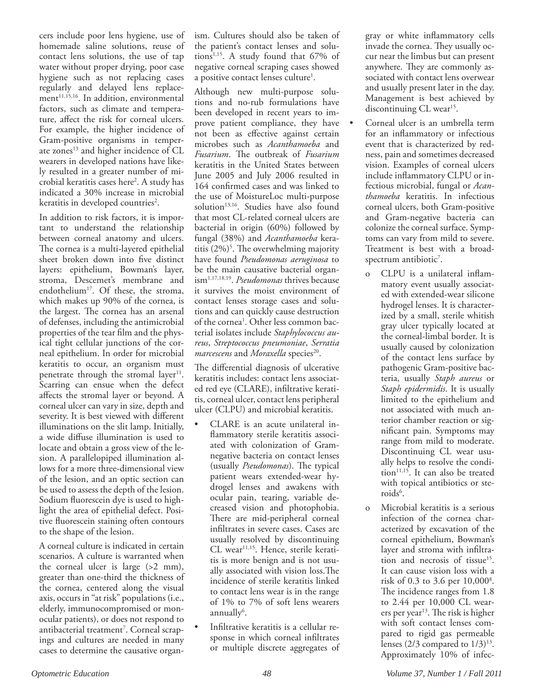cers include poor lens hygiene, use of homemade saline solutions, reuse of contact lens solutions, the use of tap water without proper drying, poor case hygiene such as not replacing cases regularly and delayed lens replacement<sup>11,15,16</sup>. In addition, environmental factors, such as climate and temperature, affect the risk for corneal ulcers. For example, the higher incidence of Gram-positive organisms in temperate zones<sup>13</sup> and higher incidence of CL wearers in developed nations have likely resulted in a greater number of microbial keratitis cases here2 . A study has indicated a 30% increase in microbial keratitis in developed countries<sup>2</sup>.

In addition to risk factors, it is important to understand the relationship between corneal anatomy and ulcers. The cornea is a multi-layered epithelial sheet broken down into five distinct layers: epithelium, Bowman's layer, stroma, Descemet's membrane and endothelium<sup>17</sup>. Of these, the stroma, which makes up 90% of the cornea, is the largest. The cornea has an arsenal of defenses, including the antimicrobial properties of the tear film and the physical tight cellular junctions of the corneal epithelium. In order for microbial keratitis to occur, an organism must penetrate through the stromal layer $11$ . Scarring can ensue when the defect affects the stromal layer or beyond. A corneal ulcer can vary in size, depth and severity. It is best viewed with different illuminations on the slit lamp. Initially, a wide diffuse illumination is used to locate and obtain a gross view of the lesion. A parallelopiped illumination allows for a more three-dimensional view of the lesion, and an optic section can be used to assess the depth of the lesion. Sodium fluorescein dye is used to highlight the area of epithelial defect. Positive fluorescein staining often contours to the shape of the lesion.

A corneal culture is indicated in certain scenarios. A culture is warranted when the corneal ulcer is large (>2 mm), greater than one-third the thickness of the cornea, centered along the visual axis, occurs in "at risk" populations (i.e., elderly, immunocompromised or monocular patients), or does not respond to antibacterial treatment<sup>7</sup>. Corneal scrapings and cultures are needed in many cases to determine the causative organism. Cultures should also be taken of the patient's contact lenses and solutions<sup>1,15</sup>. A study found that  $67\%$  of negative corneal scraping cases showed a positive contact lenses culture<sup>1</sup>.

Although new multi-purpose solutions and no-rub formulations have been developed in recent years to improve patient compliance, they have not been as effective against certain microbes such as *Acanthamoeba* and *Fusarium*. The outbreak of *Fusarium*  keratitis in the United States between June 2005 and July 2006 resulted in 164 confirmed cases and was linked to the use of MoistureLoc multi-purpose solution<sup>13,16</sup>. Studies have also found that most CL-related corneal ulcers are bacterial in origin (60%) followed by fungal (38%) and *Acanthamoeba* keratitis  $(2\%)^5$ . The overwhelming majority have found *Pseudomonas aeruginosa* to be the main causative bacterial organism1,17,18,19. *Pseudomonas* thrives because it survives the moist environment of contact lenses storage cases and solutions and can quickly cause destruction of the cornea<sup>1</sup>. Other less common bacterial isolates include *Staphylococcus aureus*, *Streptococcus pneumoniae*, *Serratia marcescens* and *Moraxella* species<sup>20</sup>.

The differential diagnosis of ulcerative keratitis includes: contact lens associated red eye (CLARE), infiltrative keratitis, corneal ulcer, contact lens peripheral ulcer (CLPU) and microbial keratitis.

- CLARE is an acute unilateral inflammatory sterile keratitis associated with colonization of Gramnegative bacteria on contact lenses (usually *Pseudomonas*). The typical patient wears extended-wear hydrogel lenses and awakens with ocular pain, tearing, variable decreased vision and photophobia. There are mid-peripheral corneal infiltrates in severe cases. Cases are usually resolved by discontinuing CL wear<sup>11,15</sup>. Hence, sterile keratitis is more benign and is not usually associated with vision loss.The incidence of sterile keratitis linked to contact lens wear is in the range of 1% to 7% of soft lens wearers annually $^6$ .
- Infiltrative keratitis is a cellular response in which corneal infiltrates or multiple discrete aggregates of

gray or white inflammatory cells invade the cornea. They usually occur near the limbus but can present anywhere. They are commonly associated with contact lens overwear and usually present later in the day. Management is best achieved by discontinuing CL wear<sup>15</sup>.

- Corneal ulcer is an umbrella term for an inflammatory or infectious event that is characterized by redness, pain and sometimes decreased vision. Examples of corneal ulcers include inflammatory CLPU or infectious microbial, fungal or *Acanthamoeba* keratitis. In infectious corneal ulcers, both Gram-positive and Gram-negative bacteria can colonize the corneal surface. Symptoms can vary from mild to severe. Treatment is best with a broad $s$ pectrum antibiotic<sup>7</sup>.
	- o CLPU is a unilateral inflammatory event usually associated with extended-wear silicone hydrogel lenses. It is characterized by a small, sterile whitish gray ulcer typically located at the corneal-limbal border. It is usually caused by colonization of the contact lens surface by pathogenic Gram-positive bacteria, usually *Staph aureus* or *Staph epidermidis*. It is usually limited to the epithelium and not associated with much anterior chamber reaction or significant pain. Symptoms may range from mild to moderate. Discontinuing CL wear usually helps to resolve the condition $11,15$ . It can also be treated with topical antibiotics or steroids<sup>6</sup>.
	- o Microbial keratitis is a serious infection of the cornea characterized by excavation of the corneal epithelium, Bowman's layer and stroma with infiltration and necrosis of tissue<sup>15</sup>. It can cause vision loss with a risk of 0.3 to 3.6 per 10,000<sup>8</sup>. The incidence ranges from 1.8 to 2.44 per 10,000 CL wearers per year<sup>13</sup>. The risk is higher with soft contact lenses compared to rigid gas permeable lenses  $(2/3$  compared to  $1/3$ <sup>13</sup>. Approximately 10% of infec-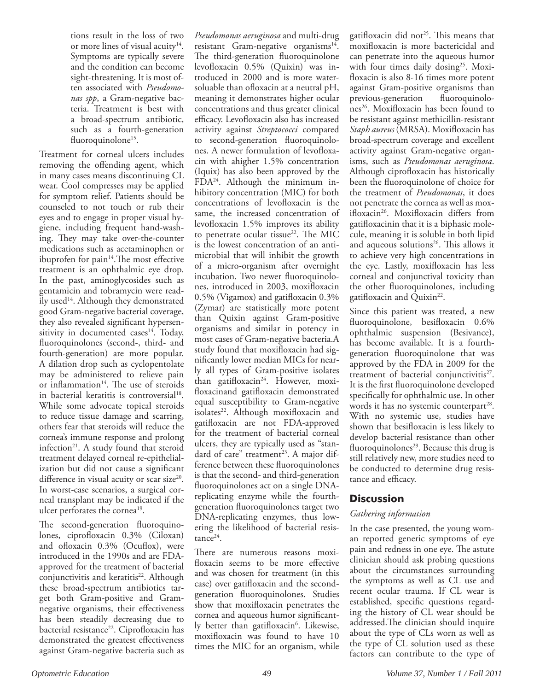tions result in the loss of two or more lines of visual acuity $14$ . Symptoms are typically severe and the condition can become sight-threatening. It is most often associated with *Pseudomonas spp*, a Gram-negative bacteria. Treatment is best with a broad-spectrum antibiotic, such as a fourth-generation fluoroquinolone<sup>15</sup>.

Treatment for corneal ulcers includes removing the offending agent, which in many cases means discontinuing CL wear. Cool compresses may be applied for symptom relief. Patients should be counseled to not touch or rub their eyes and to engage in proper visual hygiene, including frequent hand-washing. They may take over-the-counter medications such as acetaminophen or ibuprofen for pain $14$ . The most effective treatment is an ophthalmic eye drop. In the past, aminoglycosides such as gentamicin and tobramycin were readily used<sup>14</sup>. Although they demonstrated good Gram-negative bacterial coverage, they also revealed significant hypersensitivity in documented cases<sup>14</sup>. Today, fluoroquinolones (second-, third- and fourth-generation) are more popular. A dilation drop such as cyclopentolate may be administered to relieve pain or inflammation $14$ . The use of steroids in bacterial keratitis is controversial<sup>18</sup>. While some advocate topical steroids to reduce tissue damage and scarring, others fear that steroids will reduce the cornea's immune response and prolong infection<sup>21</sup>. A study found that steroid treatment delayed corneal re-epithelialization but did not cause a significant difference in visual acuity or scar size<sup>20</sup>. In worst-case scenarios, a surgical corneal transplant may be indicated if the ulcer perforates the cornea<sup>19</sup>.

The second-generation fluoroquinolones, ciprofloxacin 0.3% (Ciloxan) and ofloxacin 0.3% (Ocuflox), were introduced in the 1990s and are FDAapproved for the treatment of bacterial conjunctivitis and keratitis<sup>22</sup>. Although these broad-spectrum antibiotics target both Gram-positive and Gramnegative organisms, their effectiveness has been steadily decreasing due to bacterial resistance<sup>22</sup>. Ciprofloxacin has demonstrated the greatest effectiveness against Gram-negative bacteria such as

*Pseudomonas aeruginosa* and multi-drug resistant Gram-negative organisms $^{14}$ . The third-generation fluoroquinolone levofloxacin 0.5% (Quixin) was introduced in 2000 and is more watersoluable than ofloxacin at a neutral pH, meaning it demonstrates higher ocular concentrations and thus greater clinical efficacy. Levofloxacin also has increased activity against *Streptococci* compared to second-generation fluoroquinolones. A newer formulation of levofloxacin with ahigher 1.5% concentration (Iquix) has also been approved by the  $FDA<sup>24</sup>$ . Although the minimum inhibitory concentration (MIC) for both concentrations of levofloxacin is the same, the increased concentration of levofloxacin 1.5% improves its ability to penetrate ocular tissue<sup>22</sup>. The MIC is the lowest concentration of an antimicrobial that will inhibit the growth of a micro-organism after overnight incubation. Two newer fluoroquinolones, introduced in 2003, moxifloxacin 0.5% (Vigamox) and gatifloxacin 0.3% (Zymar) are statistically more potent than Quixin against Gram-positive organisms and similar in potency in most cases of Gram-negative bacteria.A study found that moxifloxacin had significantly lower median MICs for nearly all types of Gram-positive isolates than gatifloxacin<sup>24</sup>. However, moxifloxacinand gatifloxacin demonstrated equal susceptibility to Gram-negative isolates<sup>22</sup>. Although moxifloxacin and gatifloxacin are not FDA-approved for the treatment of bacterial corneal ulcers, they are typically used as "standard of care" treatment<sup>23</sup>. A major difference between these fluoroquinolones is that the second- and third-generation fluoroquinolones act on a single DNAreplicating enzyme while the fourthgeneration fluoroquinolones target two DNA-replicating enzymes, thus lowering the likelihood of bacterial resis $tance<sup>24</sup>$ .

There are numerous reasons moxifloxacin seems to be more effective and was chosen for treatment (in this case) over gatifloxacin and the secondgeneration fluoroquinolones. Studies show that moxifloxacin penetrates the cornea and aqueous humor significantly better than gatifloxacin<sup>6</sup>. Likewise, moxifloxacin was found to have 10 times the MIC for an organism, while

gatifloxacin did not<sup>25</sup>. This means that moxifloxacin is more bactericidal and can penetrate into the aqueous humor with four times daily dosing<sup>25</sup>. Moxifloxacin is also 8-16 times more potent against Gram-positive organisms than previous-generation fluoroquinolones<sup>26</sup>. Moxifloxacin has been found to be resistant against methicillin-resistant *Staph aureus* (MRSA). Moxifloxacin has broad-spectrum coverage and excellent activity against Gram-negative organisms, such as *Pseudomonas aeruginosa*. Although ciprofloxacin has historically been the fluoroquinolone of choice for the treatment of *Pseudomonas*, it does not penetrate the cornea as well as moxifloxacin<sup>26</sup>. Moxifloxacin differs from gatifloxacinin that it is a biphasic molecule, meaning it is soluble in both lipid and aqueous solutions<sup>26</sup>. This allows it to achieve very high concentrations in the eye. Lastly, moxifloxacin has less corneal and conjunctival toxicity than the other fluoroquinolones, including gatifloxacin and Quixin<sup>22</sup>.

Since this patient was treated, a new fluoroquinolone, besifloxacin 0.6% ophthalmic suspension (Besivance), has become available. It is a fourthgeneration fluoroquinolone that was approved by the FDA in 2009 for the treatment of bacterial conjunctivitis $27$ . It is the first fluoroquinolone developed specifically for ophthalmic use. In other words it has no systemic counterpart<sup>28</sup>. With no systemic use, studies have shown that besifloxacin is less likely to develop bacterial resistance than other fluoroquinolones<sup>29</sup>. Because this drug is still relatively new, more studies need to be conducted to determine drug resistance and efficacy.

# **Discussion**

## *Gathering information*

In the case presented, the young woman reported generic symptoms of eye pain and redness in one eye. The astute clinician should ask probing questions about the circumstances surrounding the symptoms as well as CL use and recent ocular trauma. If CL wear is established, specific questions regarding the history of CL wear should be addressed.The clinician should inquire about the type of CLs worn as well as the type of CL solution used as these factors can contribute to the type of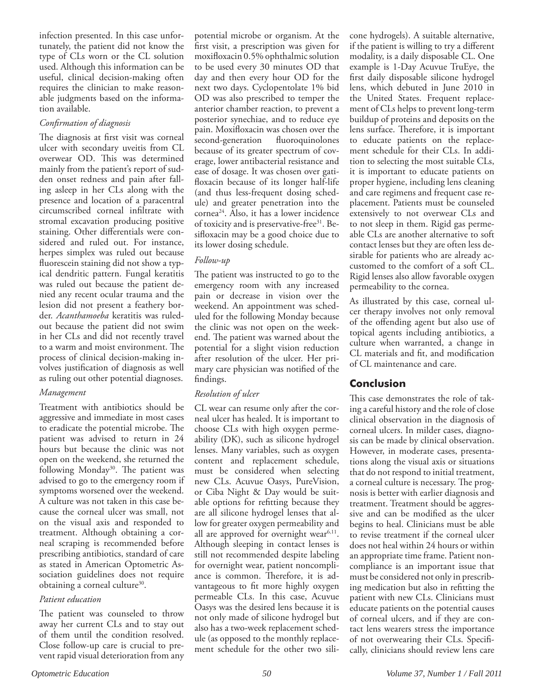infection presented. In this case unfortunately, the patient did not know the type of CLs worn or the CL solution used. Although this information can be useful, clinical decision-making often requires the clinician to make reasonable judgments based on the information available.

## *Confirmation of diagnosis*

The diagnosis at first visit was corneal ulcer with secondary uveitis from CL overwear OD. This was determined mainly from the patient's report of sudden onset redness and pain after falling asleep in her CLs along with the presence and location of a paracentral circumscribed corneal infiltrate with stromal excavation producing positive staining. Other differentials were considered and ruled out. For instance, herpes simplex was ruled out because fluorescein staining did not show a typical dendritic pattern. Fungal keratitis was ruled out because the patient denied any recent ocular trauma and the lesion did not present a feathery border. *Acanthamoeba* keratitis was ruledout because the patient did not swim in her CLs and did not recently travel to a warm and moist environment. The process of clinical decision-making involves justification of diagnosis as well as ruling out other potential diagnoses.

## *Management*

Treatment with antibiotics should be aggressive and immediate in most cases to eradicate the potential microbe. The patient was advised to return in 24 hours but because the clinic was not open on the weekend, she returned the following Monday<sup>30</sup>. The patient was advised to go to the emergency room if symptoms worsened over the weekend. A culture was not taken in this case because the corneal ulcer was small, not on the visual axis and responded to treatment. Although obtaining a corneal scraping is recommended before prescribing antibiotics, standard of care as stated in American Optometric Association guidelines does not require obtaining a corneal culture<sup>30</sup>.

## *Patient education*

The patient was counseled to throw away her current CLs and to stay out of them until the condition resolved. Close follow-up care is crucial to prevent rapid visual deterioration from any potential microbe or organism. At the first visit, a prescription was given for moxifloxacin 0.5% ophthalmic solution to be used every 30 minutes OD that day and then every hour OD for the next two days. Cyclopentolate 1% bid OD was also prescribed to temper the anterior chamber reaction, to prevent a posterior synechiae, and to reduce eye pain. Moxifloxacin was chosen over the second-generation fluoroquinolones because of its greater spectrum of coverage, lower antibacterial resistance and ease of dosage. It was chosen over gatifloxacin because of its longer half-life (and thus less-frequent dosing schedule) and greater penetration into the  $cornea<sup>24</sup>$ . Also, it has a lower incidence of toxicity and is preservative-free<sup>31</sup>. Besifloxacin may be a good choice due to its lower dosing schedule.

## *Follow-up*

The patient was instructed to go to the emergency room with any increased pain or decrease in vision over the weekend. An appointment was scheduled for the following Monday because the clinic was not open on the weekend. The patient was warned about the potential for a slight vision reduction after resolution of the ulcer. Her primary care physician was notified of the findings.

## *Resolution of ulcer*

CL wear can resume only after the corneal ulcer has healed. It is important to choose CLs with high oxygen permeability (DK), such as silicone hydrogel lenses. Many variables, such as oxygen content and replacement schedule, must be considered when selecting new CLs. Acuvue Oasys, PureVision, or Ciba Night & Day would be suitable options for refitting because they are all silicone hydrogel lenses that allow for greater oxygen permeability and all are approved for overnight wear $6,11$ . Although sleeping in contact lenses is still not recommended despite labeling for overnight wear, patient noncompliance is common. Therefore, it is advantageous to fit more highly oxygen permeable CLs. In this case, Acuvue Oasys was the desired lens because it is not only made of silicone hydrogel but also has a two-week replacement schedule (as opposed to the monthly replacement schedule for the other two silicone hydrogels). A suitable alternative, if the patient is willing to try a different modality, is a daily disposable CL. One example is 1-Day Acuvue TruEye, the first daily disposable silicone hydrogel lens, which debuted in June 2010 in the United States. Frequent replacement of CLs helps to prevent long-term buildup of proteins and deposits on the lens surface. Therefore, it is important to educate patients on the replacement schedule for their CLs. In addition to selecting the most suitable CLs, it is important to educate patients on proper hygiene, including lens cleaning and care regimens and frequent case replacement. Patients must be counseled extensively to not overwear CLs and to not sleep in them. Rigid gas permeable CLs are another alternative to soft contact lenses but they are often less desirable for patients who are already accustomed to the comfort of a soft CL. Rigid lenses also allow favorable oxygen permeability to the cornea.

As illustrated by this case, corneal ulcer therapy involves not only removal of the offending agent but also use of topical agents including antibiotics, a culture when warranted, a change in CL materials and fit, and modification of CL maintenance and care.

# **Conclusion**

This case demonstrates the role of taking a careful history and the role of close clinical observation in the diagnosis of corneal ulcers. In milder cases, diagnosis can be made by clinical observation. However, in moderate cases, presentations along the visual axis or situations that do not respond to initial treatment, a corneal culture is necessary. The prognosis is better with earlier diagnosis and treatment. Treatment should be aggressive and can be modified as the ulcer begins to heal. Clinicians must be able to revise treatment if the corneal ulcer does not heal within 24 hours or within an appropriate time frame. Patient noncompliance is an important issue that must be considered not only in prescribing medication but also in refitting the patient with new CLs. Clinicians must educate patients on the potential causes of corneal ulcers, and if they are contact lens wearers stress the importance of not overwearing their CLs. Specifically, clinicians should review lens care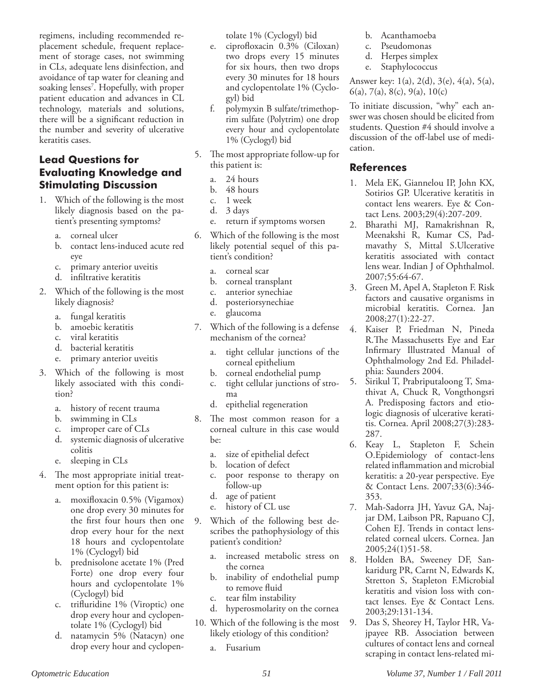regimens, including recommended replacement schedule, frequent replacement of storage cases, not swimming in CLs, adequate lens disinfection, and avoidance of tap water for cleaning and soaking lenses7 . Hopefully, with proper patient education and advances in CL technology, materials and solutions, there will be a significant reduction in the number and severity of ulcerative keratitis cases.

# **Lead Questions for Evaluating Knowledge and Stimulating Discussion**

- 1. Which of the following is the most likely diagnosis based on the patient's presenting symptoms?
	- a. corneal ulcer
	- b. contact lens-induced acute red eye
	- c. primary anterior uveitis
	- d. infiltrative keratitis
- 2. Which of the following is the most likely diagnosis?
	- a. fungal keratitis
	- b. amoebic keratitis
	- c. viral keratitis
	- d. bacterial keratitis
	- primary anterior uveitis
- 3. Which of the following is most likely associated with this condition?
	- a. history of recent trauma
	- b. swimming in CLs
	- c. improper care of CLs
	- d. systemic diagnosis of ulcerative colitis
	- e. sleeping in CLs
- 4. The most appropriate initial treatment option for this patient is:
	- a. moxifloxacin 0.5% (Vigamox) one drop every 30 minutes for the first four hours then one drop every hour for the next 18 hours and cyclopentolate 1% (Cyclogyl) bid
	- b. prednisolone acetate 1% (Pred Forte) one drop every four hours and cyclopentolate 1% (Cyclogyl) bid
	- c. trifluridine 1% (Viroptic) one drop every hour and cyclopentolate 1% (Cyclogyl) bid
	- d. natamycin 5% (Natacyn) one drop every hour and cyclopen-

tolate 1% (Cyclogyl) bid

- e. ciprofloxacin 0.3% (Ciloxan) two drops every 15 minutes for six hours, then two drops every 30 minutes for 18 hours and cyclopentolate 1% (Cyclogyl) bid
- f. polymyxin B sulfate/trimethoprim sulfate (Polytrim) one drop every hour and cyclopentolate 1% (Cyclogyl) bid
- 5. The most appropriate follow-up for this patient is:
	- a. 24 hours
	- b. 48 hours
	- c. 1 week
	- d. 3 days
	- e. return if symptoms worsen
- 6. Which of the following is the most likely potential sequel of this patient's condition?
	- a. corneal scar
	- b. corneal transplant
	- c. anterior synechiae
	- d. posteriorsynechiae
	- e. glaucoma
- 7. Which of the following is a defense mechanism of the cornea?
	- a. tight cellular junctions of the corneal epithelium
	- b. corneal endothelial pump
	- c. tight cellular junctions of stroma
	- d. epithelial regeneration
- 8. The most common reason for a corneal culture in this case would be:
	- a. size of epithelial defect
	- b. location of defect
	- c. poor response to therapy on follow-up
	- d. age of patient
	- e. history of CL use
- 9. Which of the following best describes the pathophysiology of this patient's condition?
	- a. increased metabolic stress on the cornea
	- b. inability of endothelial pump to remove fluid
	- c. tear film instability
	- d. hyperosmolarity on the cornea
- 10. Which of the following is the most likely etiology of this condition?
	- a. Fusarium

b. Acanthamoeba

- c. Pseudomonas
- d. Herpes simplex
- e. Staphylococcus

Answer key: 1(a), 2(d), 3(e), 4(a), 5(a),  $6(a)$ , 7(a), 8(c), 9(a), 10(c)

To initiate discussion, "why" each answer was chosen should be elicited from students. Question #4 should involve a discussion of the off-label use of medication.

## **References**

- 1. Mela EK, Giannelou IP, John KX, Sotirios GP. Ulcerative keratitis in contact lens wearers. Eye & Contact Lens. 2003;29(4):207-209.
- 2. Bharathi MJ, Ramakrishnan R, Meenakshi R, Kumar CS, Padmavathy S, Mittal S.Ulcerative keratitis associated with contact lens wear. Indian J of Ophthalmol. 2007;55:64-67.
- 3. Green M, Apel A, Stapleton F. Risk factors and causative organisms in microbial keratitis. Cornea. Jan 2008;27(1):22-27.
- 4. Kaiser P, Friedman N, Pineda R.The Massachusetts Eye and Ear Infirmary Illustrated Manual of Ophthalmology 2nd Ed. Philadelphia: Saunders 2004.
- 5. Sirikul T, Prabriputaloong T, Smathivat A, Chuck R, Vongthongsri A. Predisposing factors and etiologic diagnosis of ulcerative keratitis. Cornea. April 2008;27(3):283- 287.
- 6. Keay L, Stapleton F, Schein O.Epidemiology of contact-lens related inflammation and microbial keratitis: a 20-year perspective. Eye & Contact Lens. 2007;33(6):346- 353.
- 7. Mah-Sadorra JH, Yavuz GA, Najjar DM, Laibson PR, Rapuano CJ, Cohen EJ. Trends in contact lensrelated corneal ulcers. Cornea. Jan 2005;24(1)51-58.
- 8. Holden BA, Sweeney DF, Sankaridurg PR, Carnt N, Edwards K, Stretton S, Stapleton F.Microbial keratitis and vision loss with contact lenses. Eye & Contact Lens. 2003;29:131-134.
- 9. Das S, Sheorey H, Taylor HR, Vajpayee RB. Association between cultures of contact lens and corneal scraping in contact lens-related mi-